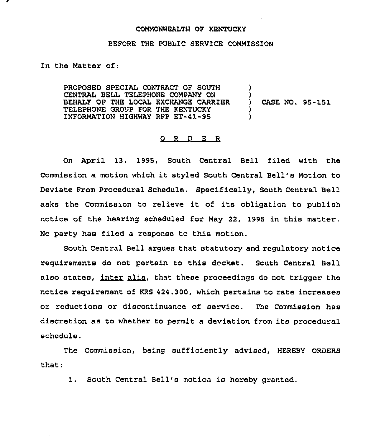## COMMONWEALTH QF KENTUCKY

## BEFORE THE PUBLIC SERVICE COMMISSION

In the Matter of:

PROPOSED SPECIAL CONTRACT OF SOUTH CENTRAL BELL TELEPHONE COMPANY QN BEHALF OF THE LOCAL EXCHANGE CARRIER TELEPHONE GROUP FOR THE KENTUCKY INFORMATION HIGHWAY RFP ET-41-95 ) ) CASE NO. 95-151 ) )

## O R D E R

On April 13, 1995, South Central Bell filed with the Commission <sup>a</sup> motion which it styled South Central Bell's Motion to Deviate From Procedural Schedule. Specifically, South Central Bell asks the Commission to relieve it of its obligation to publish notice of the hearing scheduled for May 22, 1995 in this matter. No party has filed a response to this motion.

South Central Bell argues that statutory and regulatory notice requirements do not pertain to this docket. South Central Bell also states, inter alia, that these proceedings do not trigger the ntral Bell argues that statutory and regulatory notice<br>do not pertain to this docket. South Central Bell<br>inter alia, that these proceedings do not trigger the notice reguirement of KRS 424.300, which pertains to rate increases or reductions or discontinuance of service. The Commission has discretion as to whether to permit a deviation from its procedural schedule.

The Commission, being sufficiently advised, HEREBY ORDERS that:

1. South Central Bell's motion is hereby granted.